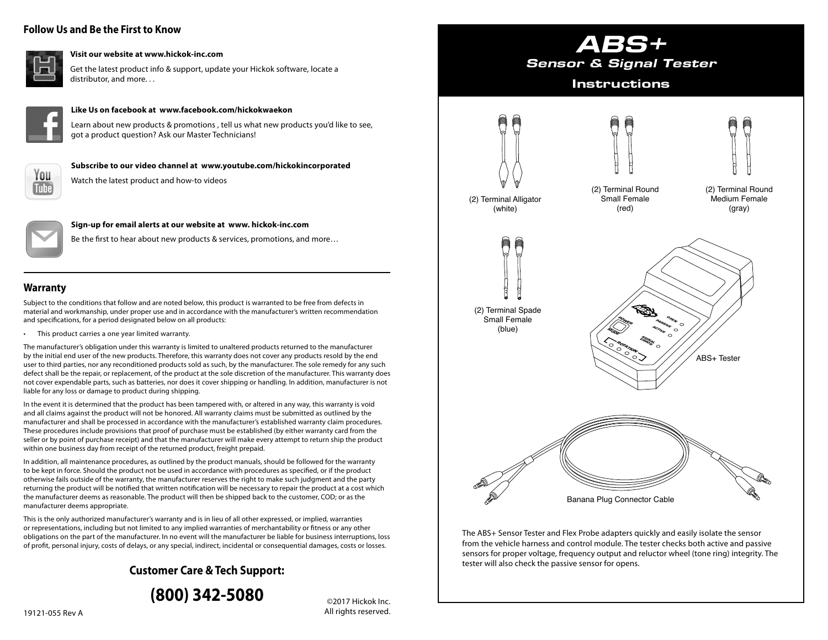# **Follow Us and Be the First to Know**



#### **Visit our website at www.hickok-inc.com**

Get the latest product info & support, update your Hickok software, locate a distributor, and more. . .



#### **Like Us on facebook at www.facebook.com/hickokwaekon**

Learn about new products & promotions , tell us what new products you'd like to see, got a product question? Ask our Master Technicians!



Watch the latest product and how-to videos



#### **Sign-up for email alerts at our website at www. hickok-inc.com**

Be the first to hear about new products & services, promotions, and more…

**Subscribe to our video channel at www.youtube.com/hickokincorporated**

### **Warranty**

Subject to the conditions that follow and are noted below, this product is warranted to be free from defects in material and workmanship, under proper use and in accordance with the manufacturer's written recommendation and specifications, for a period designated below on all products:

• This product carries a one year limited warranty.

The manufacturer's obligation under this warranty is limited to unaltered products returned to the manufacturer by the initial end user of the new products. Therefore, this warranty does not cover any products resold by the end user to third parties, nor any reconditioned products sold as such, by the manufacturer. The sole remedy for any such defect shall be the repair, or replacement, of the product at the sole discretion of the manufacturer. This warranty does not cover expendable parts, such as batteries, nor does it cover shipping or handling. In addition, manufacturer is not liable for any loss or damage to product during shipping.

In the event it is determined that the product has been tampered with, or altered in any way, this warranty is void and all claims against the product will not be honored. All warranty claims must be submitted as outlined by the manufacturer and shall be processed in accordance with the manufacturer's established warranty claim procedures. These procedures include provisions that proof of purchase must be established (by either warranty card from the seller or by point of purchase receipt) and that the manufacturer will make every attempt to return ship the product within one business day from receipt of the returned product, freight prepaid.

In addition, all maintenance procedures, as outlined by the product manuals, should be followed for the warranty to be kept in force. Should the product not be used in accordance with procedures as specified, or if the product otherwise fails outside of the warranty, the manufacturer reserves the right to make such judgment and the party returning the product will be notified that written notification will be necessary to repair the product at a cost which the manufacturer deems as reasonable. The product will then be shipped back to the customer, COD; or as the manufacturer deems appropriate.

This is the only authorized manufacturer's warranty and is in lieu of all other expressed, or implied, warranties or representations, including but not limited to any implied warranties of merchantability or fitness or any other obligations on the part of the manufacturer. In no event will the manufacturer be liable for business interruptions, loss of profit, personal injury, costs of delays, or any special, indirect, incidental or consequential damages, costs or losses.

# **Customer Care & Tech Support:**



©2017 Hickok Inc. All rights reserved.



The ABS+ Sensor Tester and Flex Probe adapters quickly and easily isolate the sensor from the vehicle harness and control module. The tester checks both active and passive sensors for proper voltage, frequency output and reluctor wheel (tone ring) integrity. The tester will also check the passive sensor for opens.